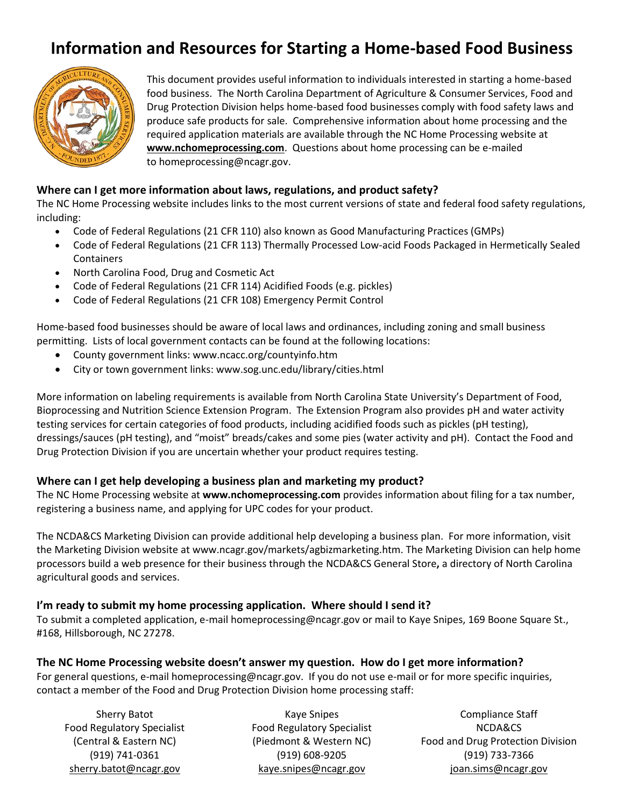## **Information and Resources for Starting a Home-based Food Business**



This document provides useful information to individuals interested in starting a home-based food business. The North Carolina Department of Agriculture & Consumer Services, Food and Drug Protection Division helps home-based food businesses comply with food safety laws and produce safe products for sale. Comprehensive information about home processing and the required application materials are available through the NC Home Processing website at **[www.nchomeprocessing.com](http://www.nchomeprocessing.com/)**. Questions about home processing can be e-mailed to [homeprocessing@ncagr.gov.](mailto:homeprocessing@ncagr.gov)

#### **Where can I get more information about laws, regulations, and product safety?**

The NC Home Processing website includes links to the most current versions of state and federal food safety regulations, including:

- [Code of Federal Regulations \(21 CFR 110\) also known](http://www.accessdata.fda.gov/scripts/cdrh/cfdocs/cfcfr/CFRSearch.cfm?CFRPart=110) as [Good Manufacturing Practices \(GMPs\)](http://www.accessdata.fda.gov/scripts/cdrh/cfdocs/cfcfr/CFRSearch.cfm?CFRPart=110)
- [Code of Federal Regulations \(21 CFR 113\)](http://www.accessdata.fda.gov/scripts/cdrh/cfdocs/cfcfr/CFRSearch.cfm?CFRPart=113) Thermally Processed Low-acid Foods Packaged in Hermetically Sealed **Containers**
- [North Carolina Food, Drug and Cosmetic Act](http://www.ncleg.net/EnactedLegislation/Statutes/HTML/ByArticle/Chapter_106/Article_12.html)
- [Code of Federal Regulations \(21 CFR 114\) Acidified Foods](http://www.accessdata.fda.gov/scripts/cdrh/cfdocs/cfCFR/CFRSearch.cfm?CFRPart=114&showFR=1) (e.g. pickles)
- [Code of Federal Regulations \(21 CFR 108\) Emergency Permit Control](http://www.accessdata.fda.gov/scripts/cdrh/cfdocs/cfCFR/CFRSearch.cfm?CFRPart=108&showFR=1)

Home-based food businesses should be aware of local laws and ordinances, including zoning and small business permitting. Lists of local government contacts can be found at the following locations:

- County government links: [www.ncacc.org/countyinfo.htm](http://www.ncacc.org/countyinfo.htm)
- City or town government links: [www.sog.unc.edu/library/cities.html](http://www.sog.unc.edu/library/cities.html)

More information on labeling requirements is available from North Carolina State University's [Department of Food,](http://www.ncsu.edu/foodscience/extension_program/nutrition_labeling.html)  [Bioprocessing and Nutrition Science Extension Program.](http://www.ncsu.edu/foodscience/extension_program/nutrition_labeling.html) The Extension Program also provides pH and water activity testing services for certain categories of food products, including acidified foods such as pickles (pH testing), dressings/sauces (pH testing), and "moist" breads/cakes and some pies (water activity and pH). Contact the Food and Drug Protection Division if you are uncertain whether your product requires testing.

#### **Where can I get help developing a business plan and marketing my product?**

The NC Home Processing website at **[www.nchomeprocessing.com](http://www.nchomeprocessing.com/)** provides information about filing for a tax number, registering a business name, and applying for UPC codes for your product.

The NCDA&CS Marketing Division can provide additional help developing a business plan. For more information, visit the Marketing Division website at [www.ncagr.gov/markets/agbizmarketing.htm.](http://www.ncagr.gov/markets/agbizmarketing.htm) The Marketing Division can help home processors build a web presence for their business through the NCDA&CS [General Store](http://www.ncagr.gov/NCproducts/index.htm)**,** a directory of North Carolina agricultural goods and services.

#### **I'm ready to submit my home processing application. Where should I send it?**

To submit a completed application, e-mai[l homeprocessing@ncagr.gov](mailto:homeprocessing@ncagr.gov) or mail to Kaye Snipes, 169 Boone Square St., #168, Hillsborough, NC 27278.

#### **The NC Home Processing website doesn't answer my question. How do I get more information?**

For general questions, e-mail [homeprocessing@ncagr.gov.](mailto:homeprocessing@ncagr.gov) If you do not use e-mail or for more specific inquiries, contact a member of the Food and Drug Protection Division home processing staff:

Sherry Batot Food Regulatory Specialist (Central & Eastern NC) (919) 741-0361 [sherry.batot@ncagr.gov](mailto:sherry.batot@ncagr.gov)

Kaye Snipes Food Regulatory Specialist (Piedmont & Western NC) (919) 608-9205 [kaye.snipes@ncagr.gov](mailto:kaye.snipes@ncagr.gov)

Compliance Staff NCDA&CS Food and Drug Protection Division (919) 733-7366 [joan.sims@ncagr.gov](mailto:joan.sims@ncagr.gov)